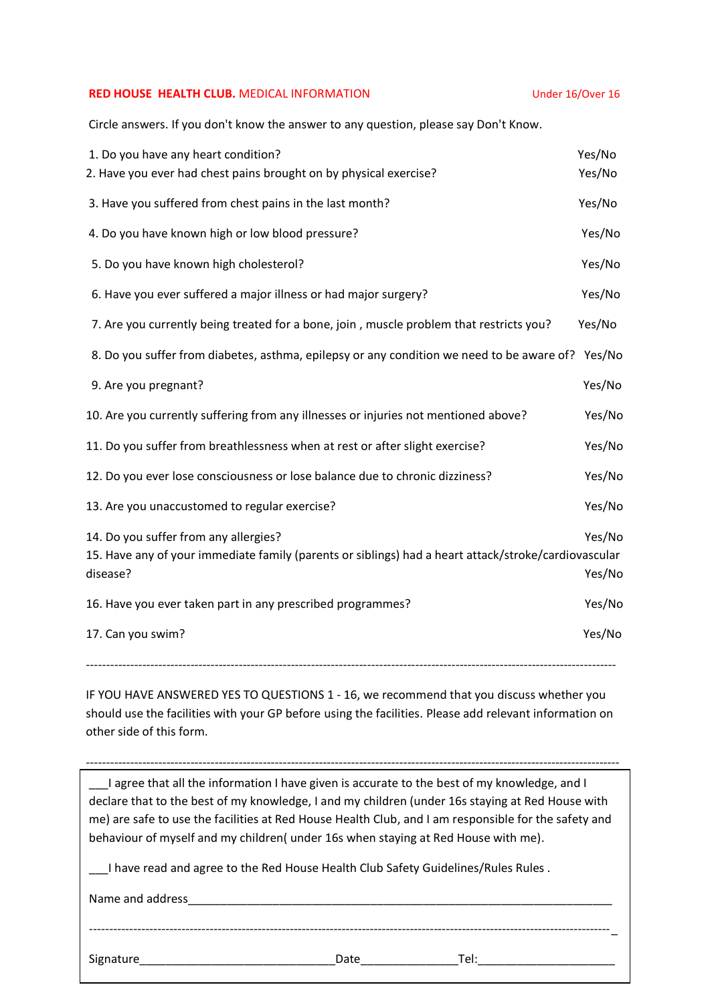## **RED HOUSE HEALTH CLUB.** MEDICAL INFORMATION **EXAMPLE 2018 19 Under 16/Over 16**

Circle answers. If you don't know the answer to any question, please say Don't Know.

| 1. Do you have any heart condition?                                                                  | Yes/No |
|------------------------------------------------------------------------------------------------------|--------|
| 2. Have you ever had chest pains brought on by physical exercise?                                    | Yes/No |
| 3. Have you suffered from chest pains in the last month?                                             | Yes/No |
| 4. Do you have known high or low blood pressure?                                                     | Yes/No |
| 5. Do you have known high cholesterol?                                                               | Yes/No |
| 6. Have you ever suffered a major illness or had major surgery?                                      | Yes/No |
| 7. Are you currently being treated for a bone, join, muscle problem that restricts you?              | Yes/No |
| 8. Do you suffer from diabetes, asthma, epilepsy or any condition we need to be aware of? Yes/No     |        |
| 9. Are you pregnant?                                                                                 | Yes/No |
| 10. Are you currently suffering from any illnesses or injuries not mentioned above?                  | Yes/No |
| 11. Do you suffer from breathlessness when at rest or after slight exercise?                         | Yes/No |
| 12. Do you ever lose consciousness or lose balance due to chronic dizziness?                         | Yes/No |
| 13. Are you unaccustomed to regular exercise?                                                        | Yes/No |
| 14. Do you suffer from any allergies?                                                                | Yes/No |
| 15. Have any of your immediate family (parents or siblings) had a heart attack/stroke/cardiovascular |        |
| disease?                                                                                             | Yes/No |
| 16. Have you ever taken part in any prescribed programmes?                                           | Yes/No |
| 17. Can you swim?                                                                                    | Yes/No |
|                                                                                                      |        |

IF YOU HAVE ANSWERED YES TO QUESTIONS 1 - 16, we recommend that you discuss whether you should use the facilities with your GP before using the facilities. Please add relevant information on other side of this form.

------------------------------------------------------------------------------------------------------------------------------------

------------------------------------------------------------------------------------------------------------------------------------- \_\_\_I agree that all the information I have given is accurate to the best of my knowledge, and I declare that to the best of my knowledge, I and my children (under 16s staying at Red House with me) are safe to use the facilities at Red House Health Club, and I am responsible for the safety and behaviour of myself and my children( under 16s when staying at Red House with me).

\_\_\_I have read and agree to the Red House Health Club Safety Guidelines/Rules Rules .

Name and address

Signature\_\_\_\_\_\_\_\_\_\_\_\_\_\_\_\_\_\_\_\_\_\_\_\_\_\_\_\_\_\_Date\_\_\_\_\_\_\_\_\_\_\_\_\_\_\_Tel:\_\_\_\_\_\_\_\_\_\_\_\_\_\_\_\_\_\_\_\_\_

----------------------------------------------------------------------------------------------------------------------------------\_